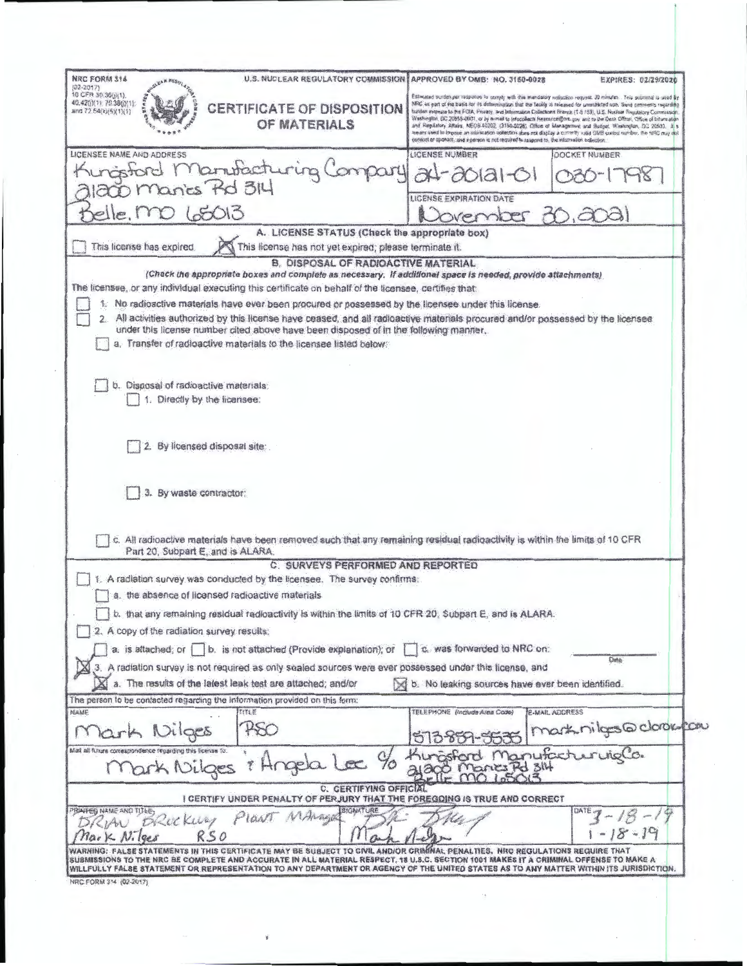| <b>U.S. NUCLEAR REGULATORY COMMISSION</b><br>NRC FORM 314<br>$(02 - 2017)$                                                                                                                                                                                            | APPROVED BY OMB: NO. 3150-0028                                                                                  | EXPIRES: 02/29/2020                                                                                                                                                                                                                              |
|-----------------------------------------------------------------------------------------------------------------------------------------------------------------------------------------------------------------------------------------------------------------------|-----------------------------------------------------------------------------------------------------------------|--------------------------------------------------------------------------------------------------------------------------------------------------------------------------------------------------------------------------------------------------|
| 10 CFR 30 360 (1)<br>40.42(j)(1): 70.38(j)(1):                                                                                                                                                                                                                        |                                                                                                                 | Estimated burden per response to occupy with the mandatory soloction request. 30 minutes. This submittel is used \$7<br>NRC as part of the basis for its determination that the taukly is raleased for unnealitated use. Send comments regarding |
| <b>CERTIFICATE OF DISPOSITION</b><br>and 72.54(k)(5)(1)(1)                                                                                                                                                                                                            |                                                                                                                 | tulition astinuos to 9:4 FOIA, Praacy, aud Mormaion Collections Heaves (1-8 FSI), U.C. Nuclear Regulatory Communicati<br>Washington, 202 20865-0001, or by aimad to infocollacts Researce@ore.cov, and to the Oess Office, Office of Intermation |
| OF MATERIALS                                                                                                                                                                                                                                                          |                                                                                                                 | and Republicy Albars, NEOS-10202, (3150-0228), Office of Munagement and Hudget, Washington, DC 20503, H s<br>means used its impose an information sollection does not display a commity valid OMB surved number, the 1990 may dol                |
| LICENSEE NAME AND ADDRESS                                                                                                                                                                                                                                             | consider by operate, and a person is not required to respond to, the information collisation.<br>LICENSE NUMBER | DOCKET NUMBER                                                                                                                                                                                                                                    |
| Manutachuring                                                                                                                                                                                                                                                         |                                                                                                                 |                                                                                                                                                                                                                                                  |
| lancs Rd 314                                                                                                                                                                                                                                                          |                                                                                                                 |                                                                                                                                                                                                                                                  |
|                                                                                                                                                                                                                                                                       | LICENSE EXPIRATION DATE                                                                                         |                                                                                                                                                                                                                                                  |
| 5013                                                                                                                                                                                                                                                                  | vernber                                                                                                         |                                                                                                                                                                                                                                                  |
| A. LICENSE STATUS (Check the appropriate box)                                                                                                                                                                                                                         |                                                                                                                 |                                                                                                                                                                                                                                                  |
| This license has expired<br>This license has not yet expired; please terminate it.                                                                                                                                                                                    |                                                                                                                 |                                                                                                                                                                                                                                                  |
| B. DISPOSAL OF RADIOACTIVE MATERIAL<br>(Chack the appropriate boxes and complete as necessary. If additional space is needed, provide attachments)                                                                                                                    |                                                                                                                 |                                                                                                                                                                                                                                                  |
| The licensee, or any individual executing this certificate on behalf of the licensee, certifies that                                                                                                                                                                  |                                                                                                                 |                                                                                                                                                                                                                                                  |
| 1. No radioactive materials have ever been procured or possessed by the licensee under this license.                                                                                                                                                                  |                                                                                                                 |                                                                                                                                                                                                                                                  |
| 2. All activities authorized by this license have ceased, and all radioactive materials procured and/or possessed by the licensee                                                                                                                                     |                                                                                                                 |                                                                                                                                                                                                                                                  |
| under this license number cited above have been disposed of in the following manner.<br>a. Transfer of radioactive materials to the licensee listed below.                                                                                                            |                                                                                                                 |                                                                                                                                                                                                                                                  |
|                                                                                                                                                                                                                                                                       |                                                                                                                 |                                                                                                                                                                                                                                                  |
|                                                                                                                                                                                                                                                                       |                                                                                                                 |                                                                                                                                                                                                                                                  |
| b. Disposal of radioactive materials:                                                                                                                                                                                                                                 |                                                                                                                 |                                                                                                                                                                                                                                                  |
| Directly by the licensee:                                                                                                                                                                                                                                             |                                                                                                                 |                                                                                                                                                                                                                                                  |
|                                                                                                                                                                                                                                                                       |                                                                                                                 |                                                                                                                                                                                                                                                  |
|                                                                                                                                                                                                                                                                       |                                                                                                                 |                                                                                                                                                                                                                                                  |
| By licensed disposal site:                                                                                                                                                                                                                                            |                                                                                                                 |                                                                                                                                                                                                                                                  |
|                                                                                                                                                                                                                                                                       |                                                                                                                 |                                                                                                                                                                                                                                                  |
|                                                                                                                                                                                                                                                                       |                                                                                                                 |                                                                                                                                                                                                                                                  |
|                                                                                                                                                                                                                                                                       |                                                                                                                 |                                                                                                                                                                                                                                                  |
| 3. By waste contractor:                                                                                                                                                                                                                                               |                                                                                                                 |                                                                                                                                                                                                                                                  |
|                                                                                                                                                                                                                                                                       |                                                                                                                 |                                                                                                                                                                                                                                                  |
| c. All radioactive materials have been removed such that any remaining residual radioactivity is within the limits of 10 CFR                                                                                                                                          |                                                                                                                 |                                                                                                                                                                                                                                                  |
| Part 20, Subpart E, and is ALARA.                                                                                                                                                                                                                                     |                                                                                                                 |                                                                                                                                                                                                                                                  |
| C. SURVEYS PERFORMED AND REPORTED                                                                                                                                                                                                                                     |                                                                                                                 |                                                                                                                                                                                                                                                  |
| A radiation survey was conducted by the licensee. The survey confirms:                                                                                                                                                                                                |                                                                                                                 |                                                                                                                                                                                                                                                  |
| a. the absence of licensed radioactive materials                                                                                                                                                                                                                      |                                                                                                                 |                                                                                                                                                                                                                                                  |
| b. that any remaining residual radioactivity is within the limits of 10 CFR 20. Subpart E, and is ALARA.                                                                                                                                                              |                                                                                                                 |                                                                                                                                                                                                                                                  |
| A copy of the radiation survey results:                                                                                                                                                                                                                               |                                                                                                                 |                                                                                                                                                                                                                                                  |
| a. is attached; or   b. is not attached (Provide explanation); or                                                                                                                                                                                                     | c. was forwarded to NRC on:                                                                                     | Date:                                                                                                                                                                                                                                            |
| 3. A radiation survey is not required as only sealed sources were ever possessed under this license, and                                                                                                                                                              |                                                                                                                 |                                                                                                                                                                                                                                                  |
| a. The results of the latest leak test are attached; and/or                                                                                                                                                                                                           | b. No leaking sources have ever been identified.                                                                |                                                                                                                                                                                                                                                  |
|                                                                                                                                                                                                                                                                       |                                                                                                                 |                                                                                                                                                                                                                                                  |
| 割割药                                                                                                                                                                                                                                                                   | TELEPHONE (Indiuda Area Code)                                                                                   | E-MAR, ADDRESS                                                                                                                                                                                                                                   |
| Dilges                                                                                                                                                                                                                                                                |                                                                                                                 |                                                                                                                                                                                                                                                  |
|                                                                                                                                                                                                                                                                       |                                                                                                                 |                                                                                                                                                                                                                                                  |
| $l$ $\alpha$<br>Hngelo<br>Mark Nilges                                                                                                                                                                                                                                 |                                                                                                                 | 535   mark nilgs@clorou.com                                                                                                                                                                                                                      |
| C. CERTIFYING OFFICIAL                                                                                                                                                                                                                                                |                                                                                                                 |                                                                                                                                                                                                                                                  |
| The person to be contacted regarding the information provided on this form:<br><b>NAME</b><br>Mail all future correspondence regarding this license to:<br>I CERTIFY UNDER PENALTY OF PERJURY THAT THE FOREGOING IS TRUE AND CORRECT<br><b>BIGNATURE</b>              |                                                                                                                 |                                                                                                                                                                                                                                                  |
| PIGNT MAMAGE<br>Office Kurzy                                                                                                                                                                                                                                          |                                                                                                                 |                                                                                                                                                                                                                                                  |
| PRINTED NAME AND TITLE<br>RSO                                                                                                                                                                                                                                         |                                                                                                                 | $-19$                                                                                                                                                                                                                                            |
| WARNING: FALSE STATEMENTS IN THIS CERTIFICATE MAY BE SUBJECT TO CIVIL AND/OR CRIMMAL PENALTIES. NRC REGULATIONS REGUIRE THAT<br>SUBMISSIONS TO THE NRC BE COMPLETE AND ACCURATE IN ALL MATERIAL RESPECT. 18 U.S.C. SECTION 1001 MAKES IT A CRIMINAL OFFENSE TO MAKE A |                                                                                                                 |                                                                                                                                                                                                                                                  |

¥

K.)